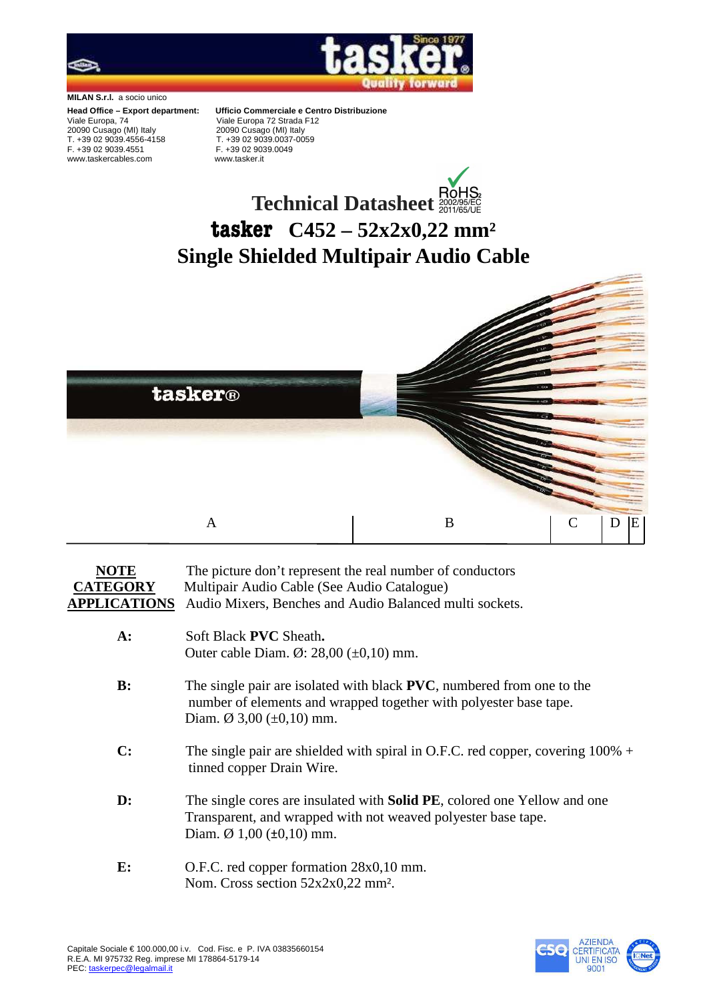

**MILAN S.r.l.** a socio unico

Viale Europa, 74Viale Europa 72 Strada F12 20090 Cusago (MI) Italy 20090 Cusago (MI) Italy T. +39 02 9039.4556-4158 T. +39 02 9039.0037-0059 www.taskercables.com www.tasker.it

**Head Office – Export department: Ufficio Commerciale e Centro Distribuzione**  F. +39 02 9039.0049

## **Technical Datasheet tasker C452 – 52x2x0,22 mm² Single Shielded Multipair Audio Cable**



## **NOTE** The picture don't represent the real number of conductors **CATEGORY** Multipair Audio Cable (See Audio Catalogue) **APPLICATIONS** Audio Mixers, Benches and Audio Balanced multi sockets.

- **A:** Soft Black **PVC** Sheath**.** Outer cable Diam. Ø: 28,00 (±0,10) mm. **B:** The single pair are isolated with black **PVC**, numbered from one to the number of elements and wrapped together with polyester base tape. Diam. Ø 3,00  $(\pm 0, 10)$  mm. **C:** The single pair are shielded with spiral in O.F.C. red copper, covering 100% + tinned copper Drain Wire.
	- **D:** The single cores are insulated with **Solid PE**, colored one Yellow and one Transparent, and wrapped with not weaved polyester base tape. Diam.  $\varnothing$  1,00 ( $\pm$ 0,10) mm.
	- **E:** O.F.C. red copper formation  $28x0,10$  mm. Nom. Cross section 52x2x0,22 mm².